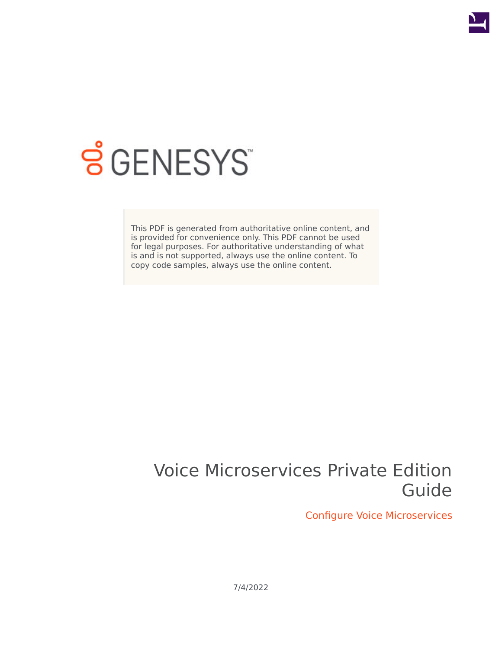

# **SGENESYS**

This PDF is generated from authoritative online content, and is provided for convenience only. This PDF cannot be used for legal purposes. For authoritative understanding of what is and is not supported, always use the online content. To copy code samples, always use the online content.

## Voice Microservices Private Edition Guide

Configure Voice Microservices

7/4/2022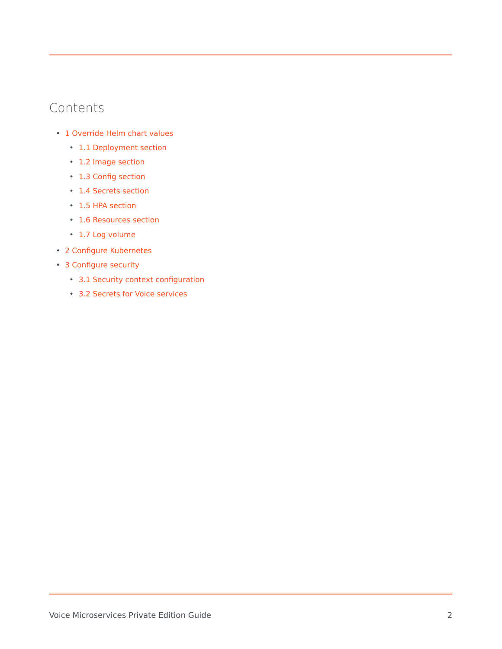### Contents

- 1 [Override Helm chart values](#page-2-0)
	- 1.1 [Deployment section](#page-2-1)
	- 1.2 [Image section](#page-3-0)
	- 1.3 [Config section](#page-3-1)
	- 1.4 [Secrets section](#page-3-2)
	- 1.5 [HPA section](#page-3-3)
	- 1.6 [Resources section](#page-4-0)
	- 1.7 [Log volume](#page-4-1)
- 2 [Configure Kubernetes](#page-5-0)
- 3 [Configure security](#page-5-1)
	- 3.1 [Security context configuration](#page-5-2)
	- 3.2 [Secrets for Voice services](#page-6-0)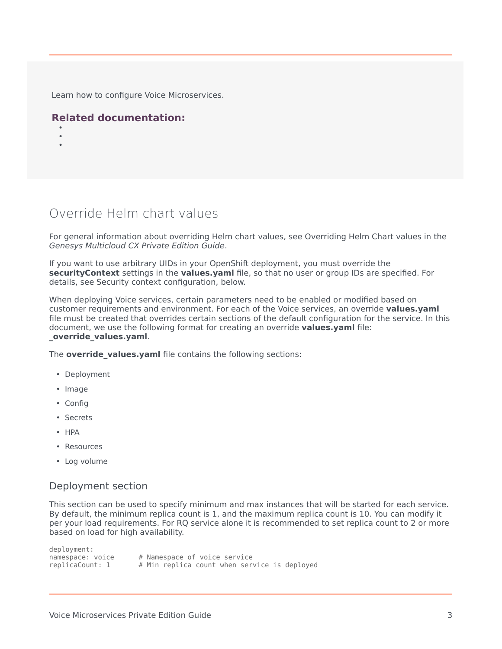Learn how to configure Voice Microservices.

#### **Related documentation:**

- •
- •

## <span id="page-2-0"></span>Override Helm chart values

For general information about overriding Helm chart values, see Overriding Helm Chart values in the *Genesys Multicloud CX Private Edition Guide*.

If you want to use arbitrary UIDs in your OpenShift deployment, you must override the **securityContext** settings in the **values.yaml** file, so that no user or group IDs are specified. For details, see Security context configuration, below.

When deploying Voice services, certain parameters need to be enabled or modified based on customer requirements and environment. For each of the Voice services, an override **values.yaml** file must be created that overrides certain sections of the default configuration for the service. In this document, we use the following format for creating an override **values.yaml** file: **\_override\_values.yaml**.

The **override values.yaml** file contains the following sections:

- Deployment
- Image
- Config
- Secrets
- HPA
- Resources
- Log volume

#### <span id="page-2-1"></span>Deployment section

This section can be used to specify minimum and max instances that will be started for each service. By default, the minimum replica count is 1, and the maximum replica count is 10. You can modify it per your load requirements. For RQ service alone it is recommended to set replica count to 2 or more based on load for high availability.

deployment:<br>namespace: voice # Namespace of voice service replicaCount: 1 # Min replica count when service is deployed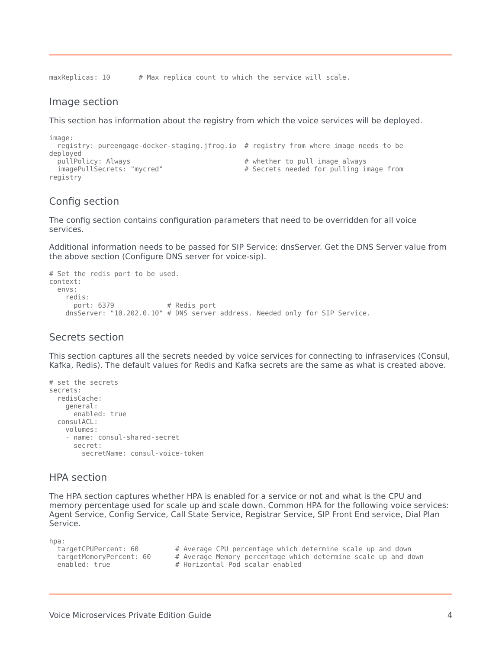maxReplicas: 10 # Max replica count to which the service will scale.

#### <span id="page-3-0"></span>Image section

This section has information about the registry from which the voice services will be deployed.

```
image:
  registry: pureengage-docker-staging.jfrog.io # registry from where image needs to be
deployed
  pullPolicy: Always \# whether to pull image always \# whether to pull image always image always \# Secrets needed for pulling in
                                                           # Secrets needed for pulling image from
registry
```
#### <span id="page-3-1"></span>Config section

The config section contains configuration parameters that need to be overridden for all voice services.

Additional information needs to be passed for SIP Service: dnsServer. Get the DNS Server value from the above section (Configure DNS server for voice-sip).

```
# Set the redis port to be used.
context:
 envs:
   redis:
     port: 6379 # Redis port
   dnsServer: "10.202.0.10" # DNS server address. Needed only for SIP Service.
```
#### <span id="page-3-2"></span>Secrets section

This section captures all the secrets needed by voice services for connecting to infraservices (Consul, Kafka, Redis). The default values for Redis and Kafka secrets are the same as what is created above.

```
# set the secrets
secrets:
  redisCache:
    general:
     enabled: true
  consulACL:
    volumes:
    - name: consul-shared-secret
      secret:
        secretName: consul-voice-token
```
#### <span id="page-3-3"></span>HPA section

The HPA section captures whether HPA is enabled for a service or not and what is the CPU and memory percentage used for scale up and scale down. Common HPA for the following voice services: Agent Service, Config Service, Call State Service, Registrar Service, SIP Front End service, Dial Plan Service.

hpa:

| targetCPUPercent: 60    | # Average CPU percentage which determine scale up and down    |  |  |  |  |  |
|-------------------------|---------------------------------------------------------------|--|--|--|--|--|
| targetMemoryPercent: 60 | # Average Memory percentage which determine scale up and down |  |  |  |  |  |
| enabled: true           | # Horizontal Pod scalar enabled                               |  |  |  |  |  |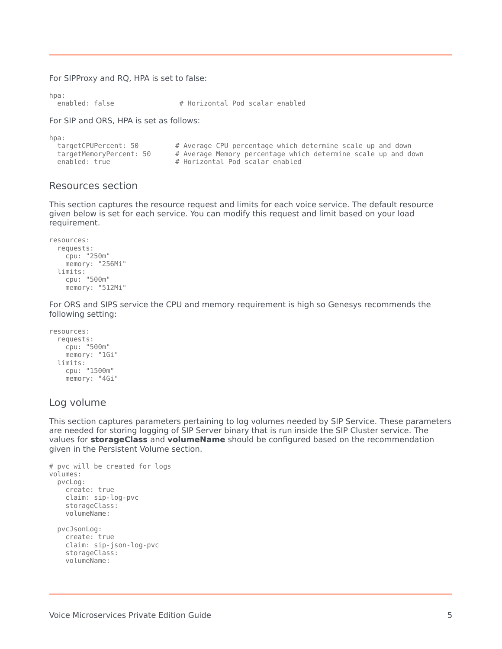For SIPProxy and RQ, HPA is set to false:

 $hna:$ 

hpa:<br>enabled: false # Horizontal Pod scalar enabled

For SIP and ORS, HPA is set as follows:

| 11 pa 1                 |                                                               |
|-------------------------|---------------------------------------------------------------|
| targetCPUPercent: 50    | # Average CPU percentage which determine scale up and down    |
| targetMemoryPercent: 50 | # Average Memory percentage which determine scale up and down |
| enabled: true           | # Horizontal Pod scalar enabled                               |
|                         |                                                               |

#### <span id="page-4-0"></span>Resources section

This section captures the resource request and limits for each voice service. The default resource given below is set for each service. You can modify this request and limit based on your load requirement.

```
resources:
  requests:
   cpu: "250m"
   memory: "256Mi"
 limits:
   cpu: "500m"
   memory: "512Mi"
```
For ORS and SIPS service the CPU and memory requirement is high so Genesys recommends the following setting:

```
resources:
  requests:
    cpu: "500m"
    memory: "1Gi"
  limits:
   cpu: "1500m"
    memory: "4Gi"
```
#### <span id="page-4-1"></span>Log volume

This section captures parameters pertaining to log volumes needed by SIP Service. These parameters are needed for storing logging of SIP Server binary that is run inside the SIP Cluster service. The values for **storageClass** and **volumeName** should be configured based on the recommendation given in the Persistent Volume section.

```
# pvc will be created for logs
volumes:
  pvcLog:
    create: true
    claim: sip-log-pvc
    storageClass:
    volumeName:
  pvcJsonLog:
    create: true
    claim: sip-json-log-pvc
    storageClass:
    volumeName:
```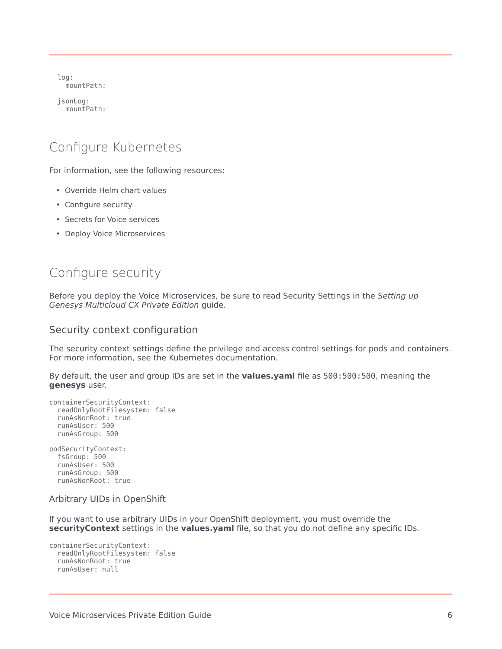log: mountPath:

jsonLog: mountPath:

## <span id="page-5-0"></span>Configure Kubernetes

For information, see the following resources:

- Override Helm chart values
- Configure security
- Secrets for Voice services
- Deploy Voice Microservices

## <span id="page-5-1"></span>Configure security

Before you deploy the Voice Microservices, be sure to read Security Settings in the *Setting up Genesys Multicloud CX Private Edition* guide.

#### <span id="page-5-2"></span>Security context configuration

The security context settings define the privilege and access control settings for pods and containers. For more information, see the Kubernetes documentation.

By default, the user and group IDs are set in the **values.yaml** file as 500:500:500, meaning the **genesys** user.

```
containerSecurityContext:
 readOnlyRootFilesystem: false
 runAsNonRoot: true
 runAsUser: 500
 runAsGroup: 500
podSecurityContext:
 fsGroup: 500
 runAsUser: 500
 runAsGroup: 500
  runAsNonRoot: true
Arbitrary UIDs in OpenShift
```
If you want to use arbitrary UIDs in your OpenShift deployment, you must override the **securityContext** settings in the **values.yaml** file, so that you do not define any specific IDs.

```
containerSecurityContext:
  readOnlyRootFilesystem: false
 runAsNonRoot: true
 runAsUser: null
```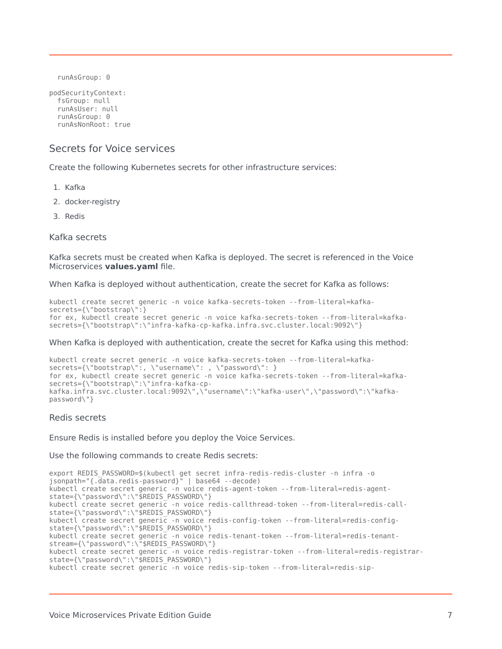```
runAsGroup: 0
```

```
podSecurityContext:
  fsGroup: null
  runAsUser: null
  runAsGroup: 0
 runAsNonRoot: true
```
#### <span id="page-6-0"></span>Secrets for Voice services

Create the following Kubernetes secrets for other infrastructure services:

- 1. Kafka
- 2. docker-registry
- 3. Redis

Kafka secrets

Kafka secrets must be created when Kafka is deployed. The secret is referenced in the Voice Microservices **values.yaml** file.

When Kafka is deployed without authentication, create the secret for Kafka as follows:

```
kubectl create secret generic -n voice kafka-secrets-token --from-literal=kafka-
secrets={\"bootstrap\":}
for ex, kubectl create secret generic -n voice kafka-secrets-token --from-literal=kafka-
secrets={\"bootstrap\":\"infra-kafka-cp-kafka.infra.svc.cluster.local:9092\"}
```
When Kafka is deployed with authentication, create the secret for Kafka using this method:

```
kubectl create secret generic -n voice kafka-secrets-token --from-literal=kafka-
secrets={\"bootstrap\":, \"username\": , \"password\": }
for ex, kubectl create secret generic -n voice kafka-secrets-token --from-literal=kafka-
secrets={\"bootstrap\":\"infra-kafka-cp-
kafka.infra.svc.cluster.local:9092\",\"username\":\"kafka-user\",\"password\":\"kafka-
password\"}
```
#### Redis secrets

Ensure Redis is installed before you deploy the Voice Services.

Use the following commands to create Redis secrets:

```
export REDIS_PASSWORD=$(kubectl get secret infra-redis-redis-cluster -n infra -o
jsonpath="{.data.redis-password}" | base64 --decode)
kubectl create secret generic -n voice redis-agent-token --from-literal=redis-agent-
state={\"password\":\"$REDIS_PASSWORD\"}
kubectl create secret generic -n voice redis-callthread-token --from-literal=redis-call-
state={\"password\":\"$REDIS_PASSWORD\"}
kubectl create secret generic -n voice redis-config-token --from-literal=redis-config-
state={\"password\":\"$REDIS_PASSWORD\"}
kubectl create secret generic -n voice redis-tenant-token --from-literal=redis-tenant-
stream={\"password\":\"$REDIS_PASSWORD\"}
kubectl create secret generic -n voice redis-registrar-token --from-literal=redis-registrar-
state={\"password\":\"$REDIS_PASSWORD\"}
kubectl create secret generic -n voice redis-sip-token --from-literal=redis-sip-
```